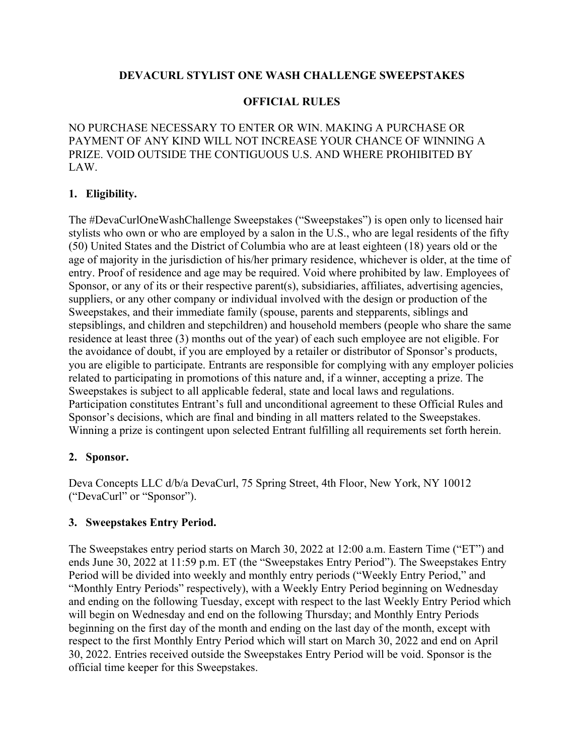## **DEVACURL STYLIST ONE WASH CHALLENGE SWEEPSTAKES**

### **OFFICIAL RULES**

NO PURCHASE NECESSARY TO ENTER OR WIN. MAKING A PURCHASE OR PAYMENT OF ANY KIND WILL NOT INCREASE YOUR CHANCE OF WINNING A PRIZE. VOID OUTSIDE THE CONTIGUOUS U.S. AND WHERE PROHIBITED BY LAW.

## **1. Eligibility.**

The #DevaCurlOneWashChallenge Sweepstakes ("Sweepstakes") is open only to licensed hair stylists who own or who are employed by a salon in the U.S., who are legal residents of the fifty (50) United States and the District of Columbia who are at least eighteen (18) years old or the age of majority in the jurisdiction of his/her primary residence, whichever is older, at the time of entry. Proof of residence and age may be required. Void where prohibited by law. Employees of Sponsor, or any of its or their respective parent(s), subsidiaries, affiliates, advertising agencies, suppliers, or any other company or individual involved with the design or production of the Sweepstakes, and their immediate family (spouse, parents and stepparents, siblings and stepsiblings, and children and stepchildren) and household members (people who share the same residence at least three (3) months out of the year) of each such employee are not eligible. For the avoidance of doubt, if you are employed by a retailer or distributor of Sponsor's products, you are eligible to participate. Entrants are responsible for complying with any employer policies related to participating in promotions of this nature and, if a winner, accepting a prize. The Sweepstakes is subject to all applicable federal, state and local laws and regulations. Participation constitutes Entrant's full and unconditional agreement to these Official Rules and Sponsor's decisions, which are final and binding in all matters related to the Sweepstakes. Winning a prize is contingent upon selected Entrant fulfilling all requirements set forth herein.

## **2. Sponsor.**

Deva Concepts LLC d/b/a DevaCurl, 75 Spring Street, 4th Floor, New York, NY 10012 ("DevaCurl" or "Sponsor").

## **3. Sweepstakes Entry Period.**

The Sweepstakes entry period starts on March 30, 2022 at 12:00 a.m. Eastern Time ("ET") and ends June 30, 2022 at 11:59 p.m. ET (the "Sweepstakes Entry Period"). The Sweepstakes Entry Period will be divided into weekly and monthly entry periods ("Weekly Entry Period," and "Monthly Entry Periods" respectively), with a Weekly Entry Period beginning on Wednesday and ending on the following Tuesday, except with respect to the last Weekly Entry Period which will begin on Wednesday and end on the following Thursday; and Monthly Entry Periods beginning on the first day of the month and ending on the last day of the month, except with respect to the first Monthly Entry Period which will start on March 30, 2022 and end on April 30, 2022. Entries received outside the Sweepstakes Entry Period will be void. Sponsor is the official time keeper for this Sweepstakes.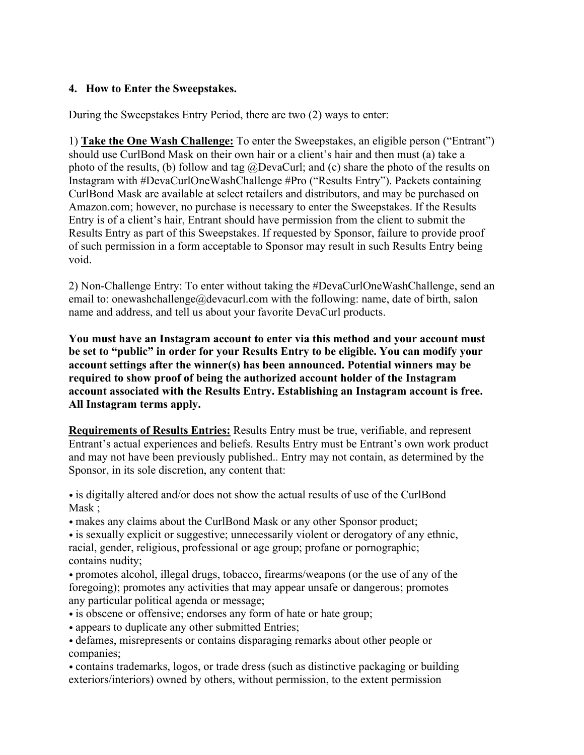## **4. How to Enter the Sweepstakes.**

During the Sweepstakes Entry Period, there are two (2) ways to enter:

1) **Take the One Wash Challenge:** To enter the Sweepstakes, an eligible person ("Entrant") should use CurlBond Mask on their own hair or a client's hair and then must (a) take a photo of the results, (b) follow and tag @DevaCurl; and (c) share the photo of the results on Instagram with #DevaCurlOneWashChallenge #Pro ("Results Entry"). Packets containing CurlBond Mask are available at select retailers and distributors, and may be purchased on Amazon.com; however, no purchase is necessary to enter the Sweepstakes. If the Results Entry is of a client's hair, Entrant should have permission from the client to submit the Results Entry as part of this Sweepstakes. If requested by Sponsor, failure to provide proof of such permission in a form acceptable to Sponsor may result in such Results Entry being void.

2) Non-Challenge Entry: To enter without taking the #DevaCurlOneWashChallenge, send an email to: onewashchallenge@devacurl.com with the following: name, date of birth, salon name and address, and tell us about your favorite DevaCurl products.

**You must have an Instagram account to enter via this method and your account must be set to "public" in order for your Results Entry to be eligible. You can modify your account settings after the winner(s) has been announced. Potential winners may be required to show proof of being the authorized account holder of the Instagram account associated with the Results Entry. Establishing an Instagram account is free. All Instagram terms apply.**

**Requirements of Results Entries:** Results Entry must be true, verifiable, and represent Entrant's actual experiences and beliefs. Results Entry must be Entrant's own work product and may not have been previously published.. Entry may not contain, as determined by the Sponsor, in its sole discretion, any content that:

• is digitally altered and/or does not show the actual results of use of the CurlBond Mask ;

• makes any claims about the CurlBond Mask or any other Sponsor product;

• is sexually explicit or suggestive; unnecessarily violent or derogatory of any ethnic, racial, gender, religious, professional or age group; profane or pornographic; contains nudity;

• promotes alcohol, illegal drugs, tobacco, firearms/weapons (or the use of any of the foregoing); promotes any activities that may appear unsafe or dangerous; promotes any particular political agenda or message;

- is obscene or offensive; endorses any form of hate or hate group;
- appears to duplicate any other submitted Entries;
- defames, misrepresents or contains disparaging remarks about other people or companies;

• contains trademarks, logos, or trade dress (such as distinctive packaging or building exteriors/interiors) owned by others, without permission, to the extent permission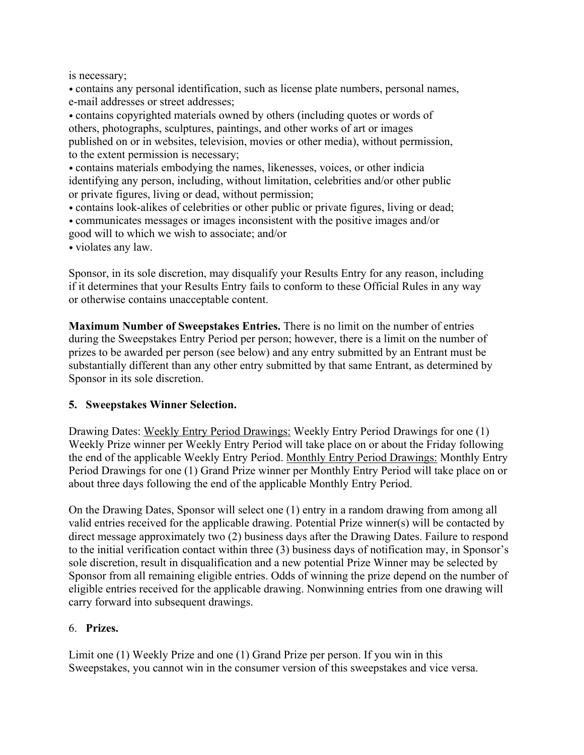is necessary;

• contains any personal identification, such as license plate numbers, personal names, e-mail addresses or street addresses;

• contains copyrighted materials owned by others (including quotes or words of others, photographs, sculptures, paintings, and other works of art or images published on or in websites, television, movies or other media), without permission, to the extent permission is necessary;

• contains materials embodying the names, likenesses, voices, or other indicia identifying any person, including, without limitation, celebrities and/or other public or private figures, living or dead, without permission;

• contains look-alikes of celebrities or other public or private figures, living or dead; • communicates messages or images inconsistent with the positive images and/or good will to which we wish to associate; and/or

• violates any law.

Sponsor, in its sole discretion, may disqualify your Results Entry for any reason, including if it determines that your Results Entry fails to conform to these Official Rules in any way or otherwise contains unacceptable content.

**Maximum Number of Sweepstakes Entries.** There is no limit on the number of entries during the Sweepstakes Entry Period per person; however, there is a limit on the number of prizes to be awarded per person (see below) and any entry submitted by an Entrant must be substantially different than any other entry submitted by that same Entrant, as determined by Sponsor in its sole discretion.

## **5. Sweepstakes Winner Selection.**

Drawing Dates: Weekly Entry Period Drawings: Weekly Entry Period Drawings for one (1) Weekly Prize winner per Weekly Entry Period will take place on or about the Friday following the end of the applicable Weekly Entry Period. Monthly Entry Period Drawings: Monthly Entry Period Drawings for one (1) Grand Prize winner per Monthly Entry Period will take place on or about three days following the end of the applicable Monthly Entry Period.

On the Drawing Dates, Sponsor will select one (1) entry in a random drawing from among all valid entries received for the applicable drawing. Potential Prize winner(s) will be contacted by direct message approximately two (2) business days after the Drawing Dates. Failure to respond to the initial verification contact within three (3) business days of notification may, in Sponsor's sole discretion, result in disqualification and a new potential Prize Winner may be selected by Sponsor from all remaining eligible entries. Odds of winning the prize depend on the number of eligible entries received for the applicable drawing. Nonwinning entries from one drawing will carry forward into subsequent drawings.

## 6. **Prizes.**

Limit one (1) Weekly Prize and one (1) Grand Prize per person. If you win in this Sweepstakes, you cannot win in the consumer version of this sweepstakes and vice versa.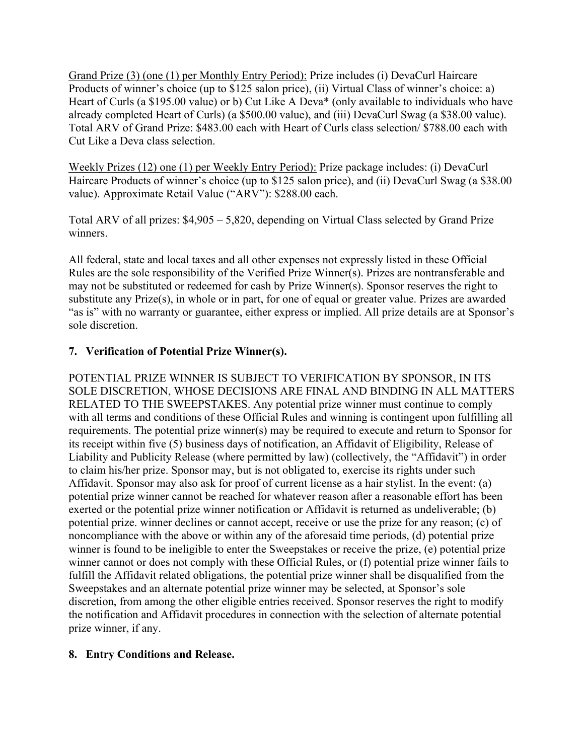Grand Prize (3) (one (1) per Monthly Entry Period): Prize includes (i) DevaCurl Haircare Products of winner's choice (up to \$125 salon price), (ii) Virtual Class of winner's choice: a) Heart of Curls (a \$195.00 value) or b) Cut Like A Deva\* (only available to individuals who have already completed Heart of Curls) (a \$500.00 value), and (iii) DevaCurl Swag (a \$38.00 value). Total ARV of Grand Prize: \$483.00 each with Heart of Curls class selection/ \$788.00 each with Cut Like a Deva class selection.

Weekly Prizes (12) one (1) per Weekly Entry Period): Prize package includes: (i) DevaCurl Haircare Products of winner's choice (up to \$125 salon price), and (ii) DevaCurl Swag (a \$38.00 value). Approximate Retail Value ("ARV"): \$288.00 each.

Total ARV of all prizes: \$4,905 – 5,820, depending on Virtual Class selected by Grand Prize winners.

All federal, state and local taxes and all other expenses not expressly listed in these Official Rules are the sole responsibility of the Verified Prize Winner(s). Prizes are nontransferable and may not be substituted or redeemed for cash by Prize Winner(s). Sponsor reserves the right to substitute any Prize(s), in whole or in part, for one of equal or greater value. Prizes are awarded "as is" with no warranty or guarantee, either express or implied. All prize details are at Sponsor's sole discretion.

# **7. Verification of Potential Prize Winner(s).**

POTENTIAL PRIZE WINNER IS SUBJECT TO VERIFICATION BY SPONSOR, IN ITS SOLE DISCRETION, WHOSE DECISIONS ARE FINAL AND BINDING IN ALL MATTERS RELATED TO THE SWEEPSTAKES. Any potential prize winner must continue to comply with all terms and conditions of these Official Rules and winning is contingent upon fulfilling all requirements. The potential prize winner(s) may be required to execute and return to Sponsor for its receipt within five (5) business days of notification, an Affidavit of Eligibility, Release of Liability and Publicity Release (where permitted by law) (collectively, the "Affidavit") in order to claim his/her prize. Sponsor may, but is not obligated to, exercise its rights under such Affidavit. Sponsor may also ask for proof of current license as a hair stylist. In the event: (a) potential prize winner cannot be reached for whatever reason after a reasonable effort has been exerted or the potential prize winner notification or Affidavit is returned as undeliverable; (b) potential prize. winner declines or cannot accept, receive or use the prize for any reason; (c) of noncompliance with the above or within any of the aforesaid time periods, (d) potential prize winner is found to be ineligible to enter the Sweepstakes or receive the prize, (e) potential prize winner cannot or does not comply with these Official Rules, or (f) potential prize winner fails to fulfill the Affidavit related obligations, the potential prize winner shall be disqualified from the Sweepstakes and an alternate potential prize winner may be selected, at Sponsor's sole discretion, from among the other eligible entries received. Sponsor reserves the right to modify the notification and Affidavit procedures in connection with the selection of alternate potential prize winner, if any.

## **8. Entry Conditions and Release.**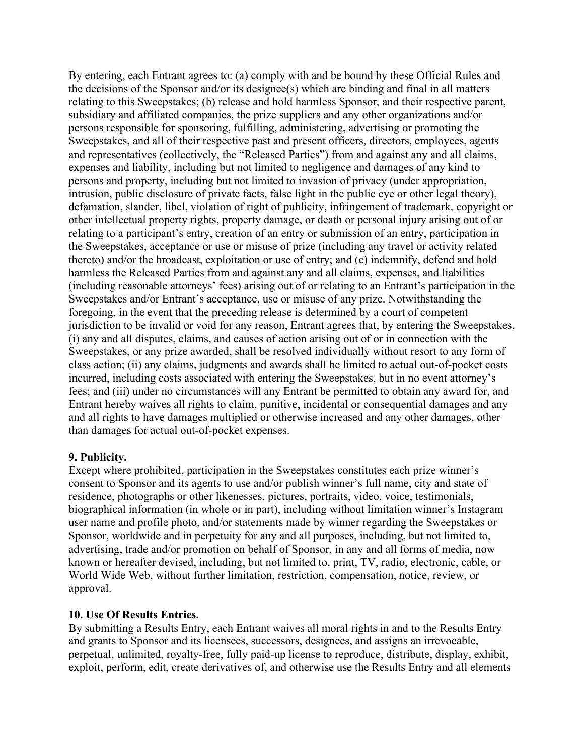By entering, each Entrant agrees to: (a) comply with and be bound by these Official Rules and the decisions of the Sponsor and/or its designee(s) which are binding and final in all matters relating to this Sweepstakes; (b) release and hold harmless Sponsor, and their respective parent, subsidiary and affiliated companies, the prize suppliers and any other organizations and/or persons responsible for sponsoring, fulfilling, administering, advertising or promoting the Sweepstakes, and all of their respective past and present officers, directors, employees, agents and representatives (collectively, the "Released Parties") from and against any and all claims, expenses and liability, including but not limited to negligence and damages of any kind to persons and property, including but not limited to invasion of privacy (under appropriation, intrusion, public disclosure of private facts, false light in the public eye or other legal theory), defamation, slander, libel, violation of right of publicity, infringement of trademark, copyright or other intellectual property rights, property damage, or death or personal injury arising out of or relating to a participant's entry, creation of an entry or submission of an entry, participation in the Sweepstakes, acceptance or use or misuse of prize (including any travel or activity related thereto) and/or the broadcast, exploitation or use of entry; and (c) indemnify, defend and hold harmless the Released Parties from and against any and all claims, expenses, and liabilities (including reasonable attorneys' fees) arising out of or relating to an Entrant's participation in the Sweepstakes and/or Entrant's acceptance, use or misuse of any prize. Notwithstanding the foregoing, in the event that the preceding release is determined by a court of competent jurisdiction to be invalid or void for any reason, Entrant agrees that, by entering the Sweepstakes, (i) any and all disputes, claims, and causes of action arising out of or in connection with the Sweepstakes, or any prize awarded, shall be resolved individually without resort to any form of class action; (ii) any claims, judgments and awards shall be limited to actual out-of-pocket costs incurred, including costs associated with entering the Sweepstakes, but in no event attorney's fees; and (iii) under no circumstances will any Entrant be permitted to obtain any award for, and Entrant hereby waives all rights to claim, punitive, incidental or consequential damages and any and all rights to have damages multiplied or otherwise increased and any other damages, other than damages for actual out-of-pocket expenses.

#### **9. Publicity.**

Except where prohibited, participation in the Sweepstakes constitutes each prize winner's consent to Sponsor and its agents to use and/or publish winner's full name, city and state of residence, photographs or other likenesses, pictures, portraits, video, voice, testimonials, biographical information (in whole or in part), including without limitation winner's Instagram user name and profile photo, and/or statements made by winner regarding the Sweepstakes or Sponsor, worldwide and in perpetuity for any and all purposes, including, but not limited to, advertising, trade and/or promotion on behalf of Sponsor, in any and all forms of media, now known or hereafter devised, including, but not limited to, print, TV, radio, electronic, cable, or World Wide Web, without further limitation, restriction, compensation, notice, review, or approval.

#### **10. Use Of Results Entries.**

By submitting a Results Entry, each Entrant waives all moral rights in and to the Results Entry and grants to Sponsor and its licensees, successors, designees, and assigns an irrevocable, perpetual, unlimited, royalty-free, fully paid-up license to reproduce, distribute, display, exhibit, exploit, perform, edit, create derivatives of, and otherwise use the Results Entry and all elements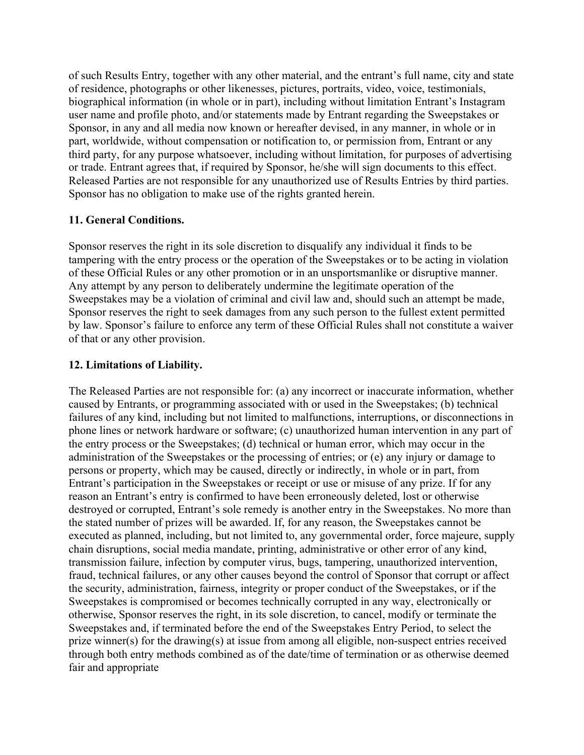of such Results Entry, together with any other material, and the entrant's full name, city and state of residence, photographs or other likenesses, pictures, portraits, video, voice, testimonials, biographical information (in whole or in part), including without limitation Entrant's Instagram user name and profile photo, and/or statements made by Entrant regarding the Sweepstakes or Sponsor, in any and all media now known or hereafter devised, in any manner, in whole or in part, worldwide, without compensation or notification to, or permission from, Entrant or any third party, for any purpose whatsoever, including without limitation, for purposes of advertising or trade. Entrant agrees that, if required by Sponsor, he/she will sign documents to this effect. Released Parties are not responsible for any unauthorized use of Results Entries by third parties. Sponsor has no obligation to make use of the rights granted herein.

# **11. General Conditions.**

Sponsor reserves the right in its sole discretion to disqualify any individual it finds to be tampering with the entry process or the operation of the Sweepstakes or to be acting in violation of these Official Rules or any other promotion or in an unsportsmanlike or disruptive manner. Any attempt by any person to deliberately undermine the legitimate operation of the Sweepstakes may be a violation of criminal and civil law and, should such an attempt be made, Sponsor reserves the right to seek damages from any such person to the fullest extent permitted by law. Sponsor's failure to enforce any term of these Official Rules shall not constitute a waiver of that or any other provision.

## **12. Limitations of Liability.**

The Released Parties are not responsible for: (a) any incorrect or inaccurate information, whether caused by Entrants, or programming associated with or used in the Sweepstakes; (b) technical failures of any kind, including but not limited to malfunctions, interruptions, or disconnections in phone lines or network hardware or software; (c) unauthorized human intervention in any part of the entry process or the Sweepstakes; (d) technical or human error, which may occur in the administration of the Sweepstakes or the processing of entries; or (e) any injury or damage to persons or property, which may be caused, directly or indirectly, in whole or in part, from Entrant's participation in the Sweepstakes or receipt or use or misuse of any prize. If for any reason an Entrant's entry is confirmed to have been erroneously deleted, lost or otherwise destroyed or corrupted, Entrant's sole remedy is another entry in the Sweepstakes. No more than the stated number of prizes will be awarded. If, for any reason, the Sweepstakes cannot be executed as planned, including, but not limited to, any governmental order, force majeure, supply chain disruptions, social media mandate, printing, administrative or other error of any kind, transmission failure, infection by computer virus, bugs, tampering, unauthorized intervention, fraud, technical failures, or any other causes beyond the control of Sponsor that corrupt or affect the security, administration, fairness, integrity or proper conduct of the Sweepstakes, or if the Sweepstakes is compromised or becomes technically corrupted in any way, electronically or otherwise, Sponsor reserves the right, in its sole discretion, to cancel, modify or terminate the Sweepstakes and, if terminated before the end of the Sweepstakes Entry Period, to select the prize winner(s) for the drawing(s) at issue from among all eligible, non-suspect entries received through both entry methods combined as of the date/time of termination or as otherwise deemed fair and appropriate